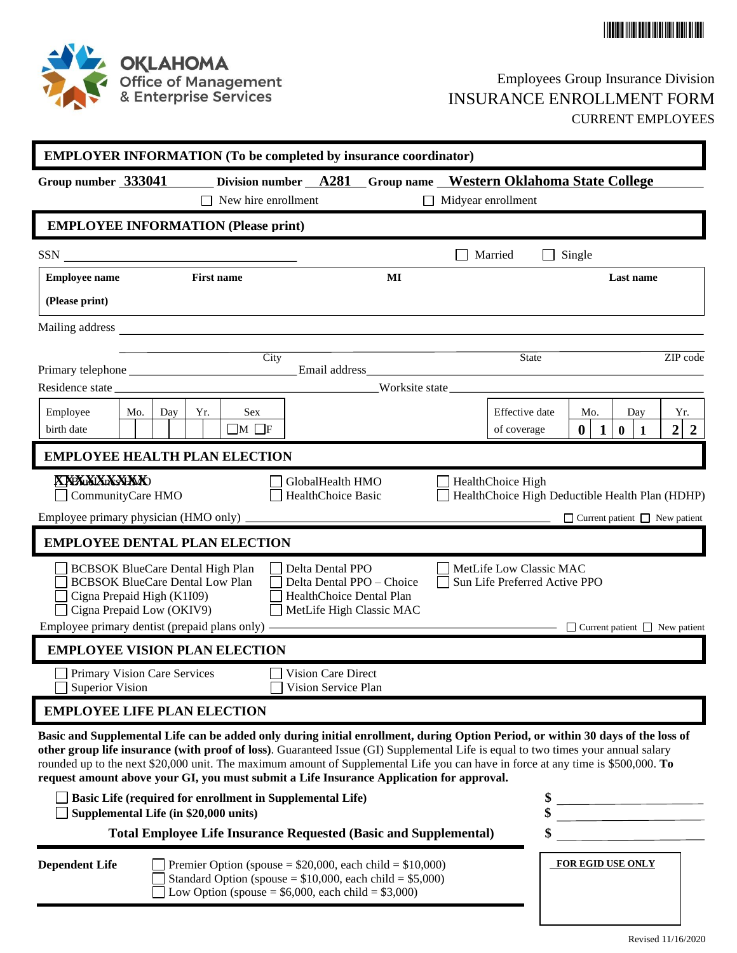



## Employees Group Insurance Division INSURANCE ENROLLMENT FORM CURRENT EMPLOYEES

| <b>EMPLOYER INFORMATION (To be completed by insurance coordinator)</b>                                                                                                                                                                                                                                                                                                                                                                                                                                                                                            |                                                                                                                   |  |  |  |  |
|-------------------------------------------------------------------------------------------------------------------------------------------------------------------------------------------------------------------------------------------------------------------------------------------------------------------------------------------------------------------------------------------------------------------------------------------------------------------------------------------------------------------------------------------------------------------|-------------------------------------------------------------------------------------------------------------------|--|--|--|--|
| Division number A281 Group name Western Oklahoma State College<br>Group number 333041<br>New hire enrollment<br>$\Box$ Midyear enrollment                                                                                                                                                                                                                                                                                                                                                                                                                         |                                                                                                                   |  |  |  |  |
| <b>EMPLOYEE INFORMATION (Please print)</b>                                                                                                                                                                                                                                                                                                                                                                                                                                                                                                                        |                                                                                                                   |  |  |  |  |
| $\frac{\text{SSN}}{\text{---}}$<br>Married                                                                                                                                                                                                                                                                                                                                                                                                                                                                                                                        | Single<br>$\Box$                                                                                                  |  |  |  |  |
| <b>First name</b><br><b>Employee name</b><br>MI                                                                                                                                                                                                                                                                                                                                                                                                                                                                                                                   | Last name                                                                                                         |  |  |  |  |
| (Please print)                                                                                                                                                                                                                                                                                                                                                                                                                                                                                                                                                    |                                                                                                                   |  |  |  |  |
|                                                                                                                                                                                                                                                                                                                                                                                                                                                                                                                                                                   |                                                                                                                   |  |  |  |  |
| City                                                                                                                                                                                                                                                                                                                                                                                                                                                                                                                                                              | State<br>ZIP code                                                                                                 |  |  |  |  |
| Worksite state                                                                                                                                                                                                                                                                                                                                                                                                                                                                                                                                                    |                                                                                                                   |  |  |  |  |
| Employee<br>Mo.<br>Yr.<br><b>Sex</b><br>Effective date<br>Day<br>$\Box M$ $\Box F$<br>birth date<br>of coverage                                                                                                                                                                                                                                                                                                                                                                                                                                                   | Yr.<br>Mo.<br>Day<br>$\overline{2}$<br>$\bf{0}$<br>$\overline{2}$<br>$\mathbf{1}$<br>$\mathbf{0}$<br>$\mathbf{1}$ |  |  |  |  |
| <b>EMPLOYEE HEALTH PLAN ELECTION</b>                                                                                                                                                                                                                                                                                                                                                                                                                                                                                                                              |                                                                                                                   |  |  |  |  |
| <b>XYEXXXXXXXXXX</b><br>HealthChoice High<br>GlobalHealth HMO<br>CommunityCare HMO<br>HealthChoice Basic                                                                                                                                                                                                                                                                                                                                                                                                                                                          | HealthChoice High Deductible Health Plan (HDHP)                                                                   |  |  |  |  |
|                                                                                                                                                                                                                                                                                                                                                                                                                                                                                                                                                                   | $\Box$ Current patient $\Box$ New patient                                                                         |  |  |  |  |
| <b>EMPLOYEE DENTAL PLAN ELECTION</b>                                                                                                                                                                                                                                                                                                                                                                                                                                                                                                                              |                                                                                                                   |  |  |  |  |
| MetLife Low Classic MAC<br><b>BCBSOK BlueCare Dental High Plan</b><br>Delta Dental PPO<br><b>BCBSOK BlueCare Dental Low Plan</b><br>Delta Dental PPO - Choice<br>$\mathsf{L}$<br>Cigna Prepaid High (K1I09)<br>HealthChoice Dental Plan<br>Cigna Prepaid Low (OKIV9)<br>MetLife High Classic MAC                                                                                                                                                                                                                                                                  | Sun Life Preferred Active PPO                                                                                     |  |  |  |  |
| Employee primary dentist (prepaid plans only) —                                                                                                                                                                                                                                                                                                                                                                                                                                                                                                                   | <b>Example 19 Current patient</b> ■ New patient                                                                   |  |  |  |  |
| <b>EMPLOYEE VISION PLAN ELECTION</b>                                                                                                                                                                                                                                                                                                                                                                                                                                                                                                                              |                                                                                                                   |  |  |  |  |
| Primary Vision Care Services<br>Vision Care Direct<br>Superior Vision<br>Vision Service Plan                                                                                                                                                                                                                                                                                                                                                                                                                                                                      |                                                                                                                   |  |  |  |  |
| <b>EMPLOYEE LIFE PLAN ELECTION</b>                                                                                                                                                                                                                                                                                                                                                                                                                                                                                                                                |                                                                                                                   |  |  |  |  |
| Basic and Supplemental Life can be added only during initial enrollment, during Option Period, or within 30 days of the loss of<br>other group life insurance (with proof of loss). Guaranteed Issue (GI) Supplemental Life is equal to two times your annual salary<br>rounded up to the next \$20,000 unit. The maximum amount of Supplemental Life you can have in force at any time is \$500,000. To<br>request amount above your GI, you must submit a Life Insurance Application for approval.<br>Basic Life (required for enrollment in Supplemental Life) |                                                                                                                   |  |  |  |  |
| Supplemental Life (in \$20,000 units)                                                                                                                                                                                                                                                                                                                                                                                                                                                                                                                             |                                                                                                                   |  |  |  |  |
| <b>Total Employee Life Insurance Requested (Basic and Supplemental)</b>                                                                                                                                                                                                                                                                                                                                                                                                                                                                                           | \$                                                                                                                |  |  |  |  |
| <b>Dependent Life</b><br>Premier Option (spouse = $$20,000$ , each child = $$10,000$ )<br>Standard Option (spouse $= $10,000$ , each child $= $5,000$ )<br>Low Option (spouse = $$6,000$ , each child = $$3,000$ )                                                                                                                                                                                                                                                                                                                                                | FOR EGID USE ONLY                                                                                                 |  |  |  |  |

Revised 11/16/2020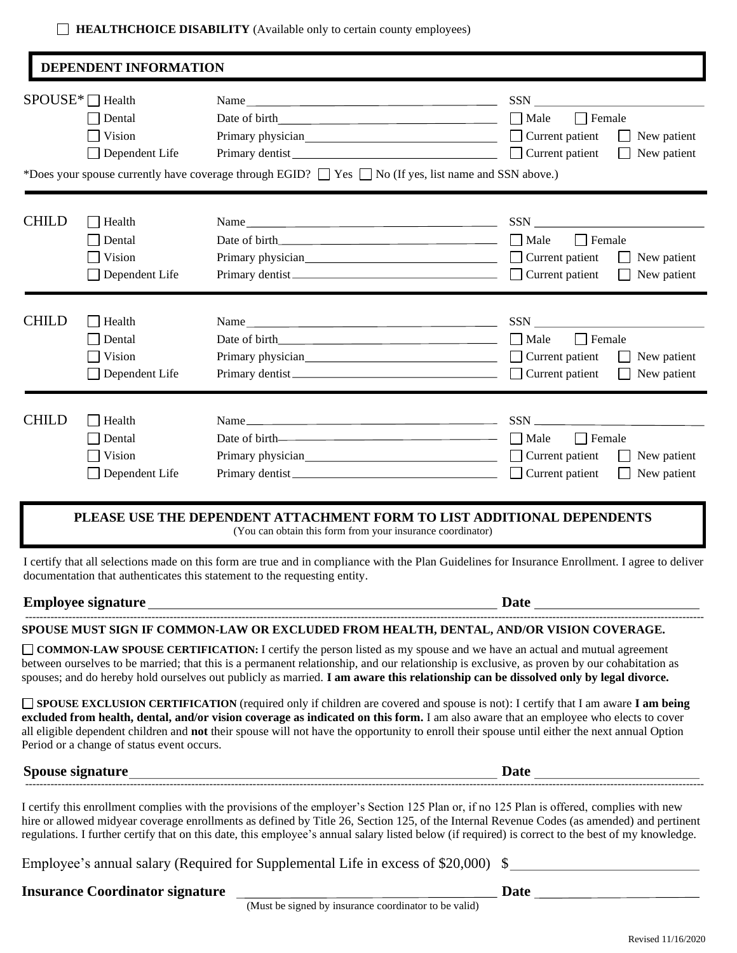| <b>HEALTHCHOICE DISABILITY</b> (Available only to certain county employees) |
|-----------------------------------------------------------------------------|
|-----------------------------------------------------------------------------|

|              | $SPOUS E^* \square$ Health                 | Name                                                                                                                                                                                                                                                                                                                                                                                                                                           |                                       |
|--------------|--------------------------------------------|------------------------------------------------------------------------------------------------------------------------------------------------------------------------------------------------------------------------------------------------------------------------------------------------------------------------------------------------------------------------------------------------------------------------------------------------|---------------------------------------|
|              | Dental                                     |                                                                                                                                                                                                                                                                                                                                                                                                                                                | $\Box$ Female<br>Male                 |
|              | Vision                                     |                                                                                                                                                                                                                                                                                                                                                                                                                                                | New patient                           |
|              | Dependent Life                             | Primary dentist<br><u>Filmany</u>                                                                                                                                                                                                                                                                                                                                                                                                              | $\Box$ Current patient<br>New patient |
|              |                                            | *Does your spouse currently have coverage through EGID? $\Box$ Yes $\Box$ No (If yes, list name and SSN above.)                                                                                                                                                                                                                                                                                                                                |                                       |
|              |                                            |                                                                                                                                                                                                                                                                                                                                                                                                                                                |                                       |
| <b>CHILD</b> | Health                                     | Name                                                                                                                                                                                                                                                                                                                                                                                                                                           |                                       |
|              | Dental                                     |                                                                                                                                                                                                                                                                                                                                                                                                                                                | $\Box$ Male<br>$\Box$ Female          |
|              | Vision                                     |                                                                                                                                                                                                                                                                                                                                                                                                                                                | $\Box$ Current patient<br>New patient |
|              | Dependent Life                             | Primary dentist                                                                                                                                                                                                                                                                                                                                                                                                                                | Current patient<br>New patient        |
| <b>CHILD</b> | Health                                     | Name                                                                                                                                                                                                                                                                                                                                                                                                                                           |                                       |
|              | Dental                                     |                                                                                                                                                                                                                                                                                                                                                                                                                                                | $\Box$ Male<br>$\Box$ Female          |
|              | Vision                                     |                                                                                                                                                                                                                                                                                                                                                                                                                                                | $\Box$ Current patient<br>New patient |
|              | Dependent Life                             |                                                                                                                                                                                                                                                                                                                                                                                                                                                | $\Box$ Current patient<br>New patient |
|              |                                            |                                                                                                                                                                                                                                                                                                                                                                                                                                                |                                       |
| <b>CHILD</b> | Health                                     |                                                                                                                                                                                                                                                                                                                                                                                                                                                |                                       |
|              | Dental                                     |                                                                                                                                                                                                                                                                                                                                                                                                                                                | $\Box$ Female<br>    Male             |
|              | Vision                                     |                                                                                                                                                                                                                                                                                                                                                                                                                                                | $\Box$ Current patient<br>New patient |
|              | Dependent Life                             | Primary dentist                                                                                                                                                                                                                                                                                                                                                                                                                                | $\Box$ Current patient<br>New patient |
|              |                                            | PLEASE USE THE DEPENDENT ATTACHMENT FORM TO LIST ADDITIONAL DEPENDENTS<br>(You can obtain this form from your insurance coordinator)                                                                                                                                                                                                                                                                                                           |                                       |
|              |                                            | I certify that all selections made on this form are true and in compliance with the Plan Guidelines for Insurance Enrollment. I agree to deliver<br>documentation that authenticates this statement to the requesting entity.                                                                                                                                                                                                                  |                                       |
|              |                                            |                                                                                                                                                                                                                                                                                                                                                                                                                                                |                                       |
|              |                                            | SPOUSE MUST SIGN IF COMMON-LAW OR EXCLUDED FROM HEALTH, DENTAL, AND/OR VISION COVERAGE.                                                                                                                                                                                                                                                                                                                                                        |                                       |
|              |                                            | COMMON-LAW SPOUSE CERTIFICATION: I certify the person listed as my spouse and we have an actual and mutual agreement<br>between ourselves to be married; that this is a permanent relationship, and our relationship is exclusive, as proven by our cohabitation as<br>spouses; and do hereby hold ourselves out publicly as married. I am aware this relationship can be dissolved only by legal divorce.                                     |                                       |
|              | Period or a change of status event occurs. | SPOUSE EXCLUSION CERTIFICATION (required only if children are covered and spouse is not): I certify that I am aware I am being<br>excluded from health, dental, and/or vision coverage as indicated on this form. I am also aware that an employee who elects to cover<br>all eligible dependent children and not their spouse will not have the opportunity to enroll their spouse until either the next annual Option                        |                                       |
|              |                                            |                                                                                                                                                                                                                                                                                                                                                                                                                                                |                                       |
|              |                                            | I certify this enrollment complies with the provisions of the employer's Section 125 Plan or, if no 125 Plan is offered, complies with new<br>hire or allowed midyear coverage enrollments as defined by Title 26, Section 125, of the Internal Revenue Codes (as amended) and pertinent<br>regulations. I further certify that on this date, this employee's annual salary listed below (if required) is correct to the best of my knowledge. |                                       |
|              |                                            |                                                                                                                                                                                                                                                                                                                                                                                                                                                |                                       |
|              |                                            | Employee's annual salary (Required for Supplemental Life in excess of \$20,000) \$                                                                                                                                                                                                                                                                                                                                                             |                                       |
|              |                                            | Insurance Coordinator signature<br>(Must be signed by insurance coordinator to be valid) Date                                                                                                                                                                                                                                                                                                                                                  |                                       |